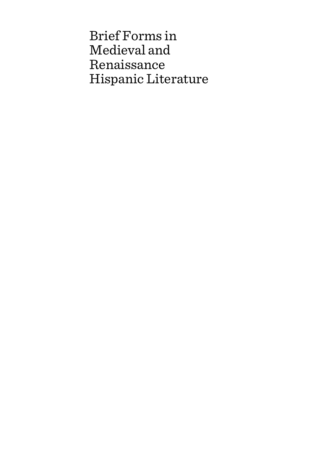Brief Forms in Medieval and Renaissance Hispanic Literature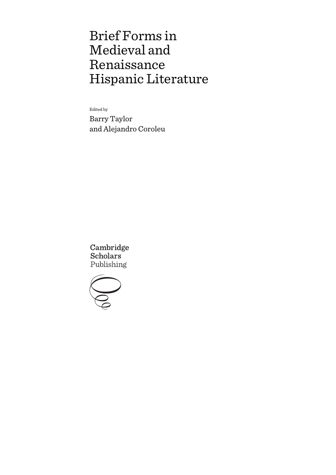# Brief Forms in Medieval and Renaissance Hispanic Literature

Edited by

Barry Taylor and Alejandro Coroleu

Cambridge **Scholars** Publishing

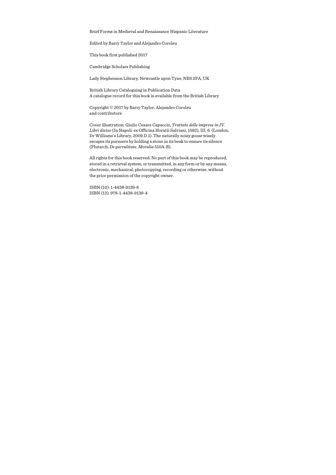Brief Forms in Medieval and Renaissance Hispanic Literature

Edited by Barry Taylor and Alejandro Coroleu

This book first published 2017

Cambridge Scholars Publishing

Lady Stephenson Library, Newcastle upon Tyne, NE6 2PA, UK

British Library Cataloguing in Publication Data A catalogue record for this book is available from the British Library

Copyright © 2017 by Barry Taylor, Alejandro Coroleu and contributors

Cover illustration: Giulio Cesare Capaccio, *Trattato delle imprese in IV. Libri diviso* (In Napoli: ex Officina Horatii Salviani, 1592), III, 6. (London, Dr Williams's Library, 2009.D.1). The naturally noisy goose wisely escapes its pursuers by holding a stone in its beak to ensure its silence (Plutarch, *De garrulitate*, *Moralia* 510A-B).

All rights for this book reserved. No part of this book may be reproduced, stored in a retrieval system, or transmitted, in any form or by any means, electronic, mechanical, photocopying, recording or otherwise, without the prior permission of the copyright owner.

ISBN (10): 1-4438-9139-8 ISBN (13): 978-1-4438-9139-4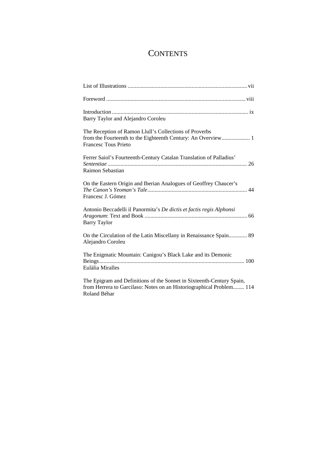# **CONTENTS**

| Barry Taylor and Alejandro Coroleu                                                                                                                            |
|---------------------------------------------------------------------------------------------------------------------------------------------------------------|
| The Reception of Ramon Llull's Collections of Proverbs<br><b>Francesc Tous Prieto</b>                                                                         |
| Ferrer Saiol's Fourteenth-Century Catalan Translation of Palladius'<br>Raimon Sebastian                                                                       |
| On the Eastern Origin and Iberian Analogues of Geoffrey Chaucer's<br>Francesc J. Gómez                                                                        |
| Antonio Beccadelli il Panormita's De dictis et factis regis Alphonsi<br><b>Barry Taylor</b>                                                                   |
| On the Circulation of the Latin Miscellany in Renaissance Spain 89<br>Alejandro Coroleu                                                                       |
| The Enigmatic Mountain: Canigou's Black Lake and its Demonic<br>Eulàlia Miralles                                                                              |
| The Epigram and Definitions of the Sonnet in Sixteenth-Century Spain,<br>from Herrera to Garcilaso: Notes on an Historiographical Problem 114<br>Roland Béhar |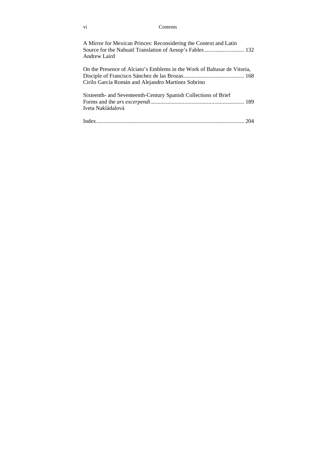#### vi Contents

| A Mirror for Mexican Princes: Reconsidering the Context and Latin<br>Andrew Laird                                              |
|--------------------------------------------------------------------------------------------------------------------------------|
| On the Presence of Alciato's Emblems in the Work of Baltasar de Vitoria,<br>Cirilo García Román and Alejandro Martínez Sobrino |
| Sixteenth- and Seventeenth-Century Spanish Collections of Brief<br>Iveta Nakládalová                                           |
|                                                                                                                                |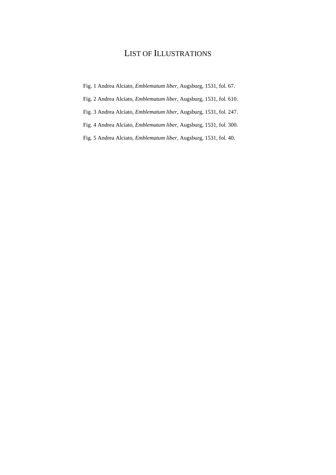# LIST OF ILLUSTRATIONS

- Fig. 1 Andrea Alciato, *Emblematum liber*, Augsburg, 1531, fol. 67.
- Fig. 2 Andrea Alciato, *Emblematum liber*, Augsburg, 1531, fol. 610.
- Fig. 3 Andrea Alciato, *Emblematum liber*, Augsburg, 1531, fol. 247.
- Fig. 4 Andrea Alciato, *Emblematum liber*, Augsburg, 1531, fol. 300.
- Fig. 5 Andrea Alciato, *Emblematum liber*, Augsburg, 1531, fol. 40.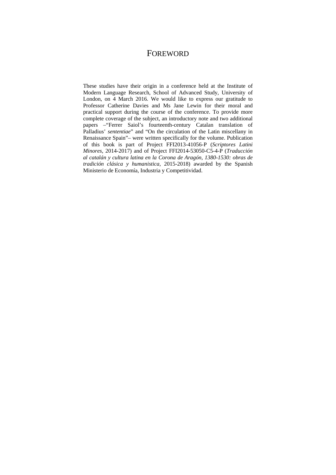# FOREWORD

These studies have their origin in a conference held at the Institute of Modern Language Research, School of Advanced Study, University of London, on 4 March 2016. We would like to express our gratitude to Professor Catherine Davies and Ms Jane Lewin for their moral and practical support during the course of the conference. To provide more complete coverage of the subject, an introductory note and two additional papers –"Ferrer Saiol's fourteenth-century Catalan translation of Palladius' *sententiae*" and "On the circulation of the Latin miscellany in Renaissance Spain"– were written specifically for the volume. Publication of this book is part of Project FFI2013-41056-P (*Scriptores Latini Minores*, 2014-2017) and of Project FFI2014-53050-C5-4-P (*Traducción al catalán y cultura latina en la Corona de Aragón, 1380-1530: obras de tradición clásica y humanistica,* 2015-2018) awarded by the Spanish Ministerio de Economía, Industria y Competitividad.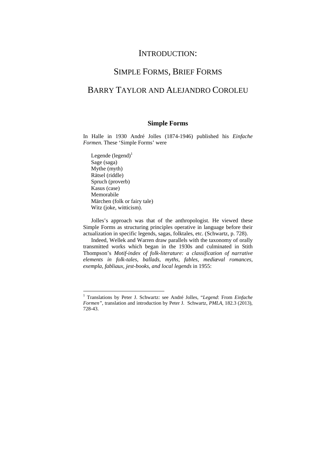## INTRODUCTION:

## SIMPLE FORMS, BRIEF FORMS

# BARRY TAYLOR AND ALEJANDRO COROLEU

#### **Simple Forms**

In Halle in 1930 André Jolles (1874-1946) published his *Einfache Formen*. These 'Simple Forms' were

Legende  $(legend)^1$ Sage (saga) Mythe (myth) Rätsel (riddle) Spruch (proverb) Kasus (case) Memorabile Märchen (folk or fairy tale) Witz (joke, witticism).

 $\overline{a}$ 

Jolles's approach was that of the anthropologist. He viewed these Simple Forms as structuring principles operative in language before their actualization in specific legends, sagas, folktales, etc. (Schwartz, p. 728).

Indeed, Wellek and Warren draw parallels with the taxonomy of orally transmitted works which began in the 1930s and culminated in Stith Thompson's *Motif-index of folk-literature: a classification of narrative elements in folk-tales, ballads, myths, fables, mediæval romances, exempla, fabliaux, jest-books, and local legends* in 1955:

<sup>&</sup>lt;sup>1</sup> Translations by Peter J. Schwartz: see André Jolles, "Legend: From Einfache *Formen"*, translation and introduction by Peter J. Schwartz, *PMLA*, 182.3 (2013), 728-43.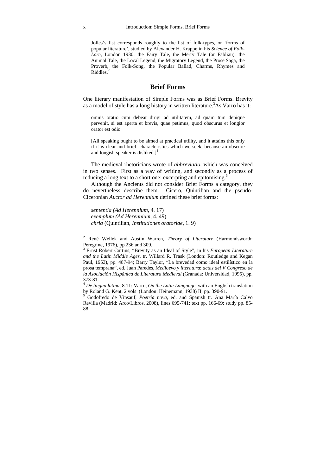Jolles's list corresponds roughly to the list of folk-types, or 'forms of popular literature', studied by Alexander H. Krappe in his *Science of Folk-Lore*, London 1930: the Fairy Tale, the Merry Tale (or Fabliau), the Animal Tale, the Local Legend, the Migratory Legend, the Prose Saga, the Proverb, the Folk-Song, the Popular Ballad, Charms, Rhymes and Riddles.<sup>2</sup>

#### **Brief Forms**

One literary manifestation of Simple Forms was as Brief Forms. Brevity as a model of style has a long history in written literature.<sup>3</sup>As Varro has it:

omnis oratio cum debeat dirigi ad utilitatem, ad quam tum denique pervenit, si est aperta et brevis, quae petimus, quod obscurus et longior orator est odio

[All speaking ought to be aimed at practical utility, and it attains this only if it is clear and brief: characteristics which we seek, because an obscure and longish speaker is disliked.<sup>[4]</sup>

The medieval rhetoricians wrote of *abbreviatio*, which was conceived in two senses. First as a way of writing, and secondly as a process of reducing a long text to a short one: excerpting and epitomising.<sup>5</sup>

Although the Ancients did not consider Brief Forms a category, they do nevertheless describe them. Cicero, Quintilian and the pseudo-Ciceronian *Auctor ad Herennium* defined these brief forms:

*sententia (Ad Herennium*, 4. 17) *exemplum (Ad Herennium*, 4. 49) *chria* (Quintilian, *Institutiones oratoriae*, 1. 9)

<sup>2</sup> René Wellek and Austin Warren, *Theory of Literature* (Harmondsworth: Peregrine, 1976), pp.236 and 309.

<sup>3</sup> Ernst Robert Curtius, "Brevity as an Ideal of Style", in his *European Literature and the Latin Middle Ages*, tr. Willard R. Trask (London: Routledge and Kegan Paul, 1953), pp. 487-94; Barry Taylor, "La brevedad como ideal estilístico en la prosa temprana", ed. Juan Paredes, *Medioevo y literatura*: *actas del V Congreso de la Asociación Hispánica de Literatura Medieval* (Granada: Universidad, 1995), pp. 373-81.

<sup>&</sup>lt;sup>4</sup> De lingua latina, 8.11: Varro, On the Latin Language, with an English translation by Roland G. Kent, 2 vols (London: Heinemann, 1938) II, pp. 390-91.

<sup>&</sup>lt;sup>5</sup> Godofredo de Vinsauf, Poetria nova, ed. and Spanish tr. Ana María Calvo Revilla (Madrid: Arco/Libros, 2008), lines 695-741; text pp. 166-69; study pp. 85- 88.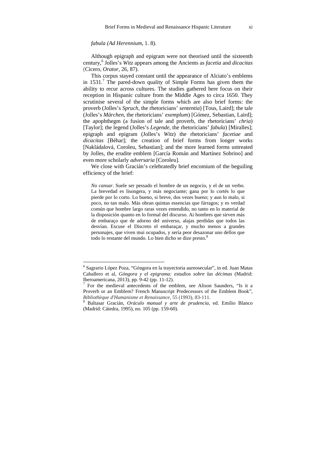*fabula (Ad Herennium*, 1. 8).

 $\overline{a}$ 

Although epigraph and epigram were not theorised until the sixteenth century,6 Jolles's *Witz* appears among the Ancients as *facetia* and *dicacitas* (Cicero, *Orator,* 26, 87).

This corpus stayed constant until the appearance of Alciato's emblems in  $1531<sup>7</sup>$  The pared-down quality of Simple Forms has given them the ability to recur across cultures. The studies gathered here focus on their reception in Hispanic culture from the Middle Ages to circa 1650. They scrutinise several of the simple forms which are also brief forms: the proverb (Jolles's *Spruch*, the rhetoricians' *sententia*) [Tous, Laird]; the tale (Jolles's *Märchen*, the rhetoricians' *exemplum*) [Gómez, Sebastian, Laird]; the apophthegm (a fusion of tale and proverb, the rhetoricians' *chria*) [Taylor]; the legend (Jolles's *Legende*, the rhetoricians' *fabula*) [Miralles]; epigraph and epigram (Jolles's *Witz*) the rhetoricians' *facetiae* and *dicacitas* [Béhar]; the creation of brief forms from longer works [Nakládalová, Coroleu, Sebastian]; and the more learned forms untreated by Jolles, the erudite emblem [García Román and Martínez Sobrino] and even more scholarly *adversaria* [Coroleu].

We close with Gracián's celebratedly brief encomium of the beguiling efficiency of the brief:

*No cansar*. Suele ser pessado el hombre de un negocio, y el de un verbo. La brevedad es lisongera, y más negociante; gana por lo cortés lo que pierde por lo corto. Lo bueno, si breve, dos vezes bueno; y aun lo malo, si poco, no tan malo. Más obran quintas essencias que fárragos; y es verdad común que hombre largo raras vezes entendido, no tanto en lo material de la disposición quanto en lo formal del discurso. Ai hombres que sirven más de embaraço que de adorno del universo, alajas perdidas que todos las desvían. Escuse el Discreto el embaraçar, y mucho menos a grandes personajes, que viven mui ocupados, y sería peor desazonar uno dellos que todo lo restante del mundo. Lo bien dicho se dize presto.<sup>8</sup>

<sup>6</sup> Sagrario López Poza, "Góngora en la trayectoria aureosecular", in ed. Juan Matas Caballero et al*, Góngora y el epigrama: estudios sobre las décimas* (Madrid: Iberoamericana, 2013), pp. 9-42 (pp. 11-12).

<sup>7</sup> For the medieval antecedents of the emblem, see Alison Saunders, "Is it a Proverb or an Emblem? French Manuscript Predecessors of the Emblem Book", *Bibliothèque d'Humanisme et Renaissance*, 55 (1993), 83-111. <sup>8</sup>

Baltasar Gracián, *Oráculo manual y arte de prudencia*, ed. Emilio Blanco (Madrid: Cátedra, 1995), no. 105 (pp. 159-60).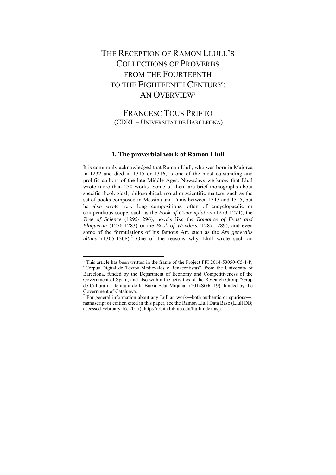# THE RECEPTION OF RAMON LLULL'S COLLECTIONS OF PROVERBS FROM THE FOURTEENTH TO THE EIGHTEENTH CENTURY. AN OVERVIEW<sup>1</sup>

FRANCESC TOUS PRIETO (CDRL – UNIVERSITAT DE BARCLEONA)

#### **1. The proverbial work of Ramon Llull**

It is commonly acknowledged that Ramon Llull, who was born in Majorca in 1232 and died in 1315 or 1316, is one of the most outstanding and prolific authors of the late Middle Ages. Nowadays we know that Llull wrote more than 250 works. Some of them are brief monographs about specific theological, philosophical, moral or scientific matters, such as the set of books composed in Messina and Tunis between 1313 and 1315, but he also wrote very long compositions, often of encyclopaedic or compendious scope, such as the *Book of Contemplation* (1273-1274), the *Tree of Science* (1295-1296), novels like the *Romance of Evast and Blaquerna* (1276-1283) or the *Book of Wonders* (1287-1289), and even some of the formulations of his famous Art, such as the *Ars generalis*  ultima (1305-1308).<sup>2</sup> One of the reasons why Llull wrote such an

<sup>&</sup>lt;sup>1</sup> This article has been written in the frame of the Project FFI 2014-53050-C5-1-P, "Corpus Digital de Textos Medievales y Renacentistas", from the University of Barcelona, funded by the Department of Economy and Competitiveness of the Government of Spain; and also within the activities of the Research Group "Grup de Cultura i Literatura de la Baixa Edat Mitjana" (2014SGR119), funded by the Government of Catalunya.

 $2^2$  For general information about any Lullian work—both authentic or spurious—, manuscript or edition cited in this paper, see the Ramon Llull Data Base (Llull DB; accessed February 16, 2017), http://orbita.bib.ub.edu/llull/index.asp.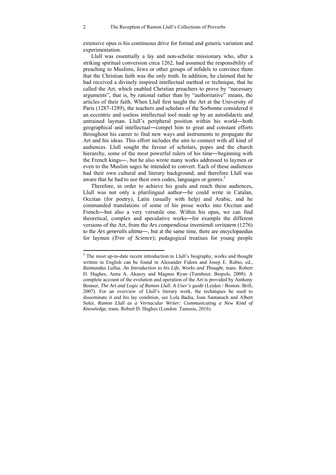extensive opus is his continuous drive for formal and generic variation and experimentation.

Llull was essentially a lay and non-scholar missionary who, after a striking spiritual conversion circa 1262, had assumed the responsibility of preaching to Muslims, Jews or other groups of infidels to convince them that the Christian faith was the only truth. In addition, he claimed that he had received a divinely inspired intellectual method or technique, that he called the Art, which enabled Christian preachers to prove by "necessary arguments", that is, by rational rather than by "authoritative" means, the articles of their faith. When Llull first taught the Art at the University of Paris (1287-1289), the teachers and scholars of the Sorbonne considered it an eccentric and useless intellectual tool made up by an autodidactic and untrained layman. Llull's peripheral position within his world―both geographical and intellectual―compel him to great and constant efforts throughout his career to find new ways and instruments to propagate the Art and his ideas. This effort includes the aim to connect with all kind of audiences. Llull sought the favour of scholars, popes and the church hierarchy, some of the most powerful rulers of his time—beginning with the French kings―, but he also wrote many works addressed to laymen or even to the Muslim sages he intended to convert. Each of these audiences had their own cultural and literary background, and therefore Llull was aware that he had to use their own codes, languages or genres.<sup>3</sup>

Therefore, in order to achieve his goals and reach these audiences, Llull was not only a plurilingual author―he could write in Catalan, Occitan (for poetry), Latin (usually with help) and Arabic, and he commanded translations of some of his prose works into Occitan and French―but also a very versatile one. Within his opus, we can find theoretical, complex and speculative works―for example the different versions of the Art, from the *Ars compendiosa inveniendi veritatem* (1276) to the *Ars generalis ultima*―, but at the same time, there are encyclopaedias for laymen (*Tree of Science*); pedagogical treatises for young people

<sup>&</sup>lt;sup>3</sup> The most up-to-date recent introduction to Llull's biography, works and thought written in English can be found in Alexander Fidora and Josep E. Rubio, ed., *Raimundus Lullus. An Introduction to his Life, Works and Thought*, trans. Robert D. Hughes, Anna A. Akasoy and Magnus Ryan (Turnhout: Brepols, 2008). A complete account of the evolution and operation of the Art is provided by Anthony Bonner, *The Art and Logic of Ramon Llull. A User's guide* (Leiden / Boston: Brill, 2007). For an overview of Llull's literary work, the techniques he used to disseminate it and his lay condition, see Lola Badia, Joan Santanach and Albert Soler, *Ramon Llull as a Vernacular Writer: Communicating a New Kind of Knowledge*, trans. Robert D. Hughes (London: Tamesis, 2016).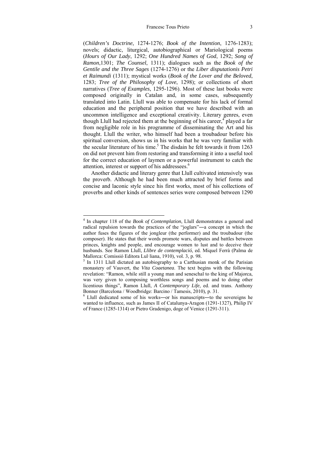#### Francesc Tous Prieto 3

(*Children's Doctrine*, 1274-1276; *Book of the Intention*, 1276-1283); novels; didactic, liturgical, autobiographical or Mariological poems (*Hours of Our Lady*, 1292; *One Hundred Names of God*, 1292; *Song of Ramon*,1301; *The Counsel*, 1311); dialogues such as the *Book of the Gentile and the Three Sages* (1274-1276) or the *Liber disputationis Petri et Raimundi* (1311); mystical works (*Book of the Lover and the Beloved*, 1283; *Tree of the Philosophy of Love*, 1298); or collections of short narratives (*Tree of Examples*, 1295-1296). Most of these last books were composed originally in Catalan and, in some cases, subsequently translated into Latin. Llull was able to compensate for his lack of formal education and the peripheral position that we have described with an uncommon intelligence and exceptional creativity. Literary genres, even though Llull had rejected them at the beginning of his career,<sup>4</sup> played a far from negligible role in his programme of disseminating the Art and his thought. Llull the writer, who himself had been a troubadour before his spiritual conversion, shows us in his works that he was very familiar with the secular literature of his time.<sup>5</sup> The disdain he felt towards it from 1263 on did not prevent him from restoring and transforming it into a useful tool for the correct education of laymen or a powerful instrument to catch the attention, interest or support of his addressees.<sup>6</sup>

Another didactic and literary genre that Llull cultivated intensively was the proverb. Although he had been much attracted by brief forms and concise and laconic style since his first works, most of his collections of proverbs and other kinds of sentences series were composed between 1290

 4 In chapter 118 of the *Book of Contemplation*, Llull demonstrates a general and radical repulsion towards the practices of the "joglars"—a concept in which the author fuses the figures of the jongleur (the performer) and the troubadour (the composer). He states that their words promote wars, disputes and battles between princes, knights and people, and encourage women to lust and to deceive their husbands. See Ramon Llull, *Llibre de contemplació*, ed. Miquel Ferrà (Palma de Mallorca: Comissió Editora Lul·liana, 1910), vol. 3, p. 98.

 $<sup>5</sup>$  In 1311 Llull dictated an autobiography to a Carthusian monk of the Parisian</sup> monastery of Vauvert, the *Vita Coaetanea*. The text begins with the following revelation: "Ramon, while still a young man and seneschal to the king of Majorca, was very given to composing worthless songs and poems and to doing other licentious things", Ramon Llull, *A Contemporary Life*, ed. and trans. Anthony Bonner (Barcelona / Woodbridge: Barcino / Tamesis, 2010), p. 31.

 $6$  Llull dedicated some of his works—or his manuscripts—to the sovereigns he wanted to influence, such as James II of Catalunya-Aragon (1291-1327), Philip IV of France (1285-1314) or Pietro Gradenigo, doge of Venice (1291-311).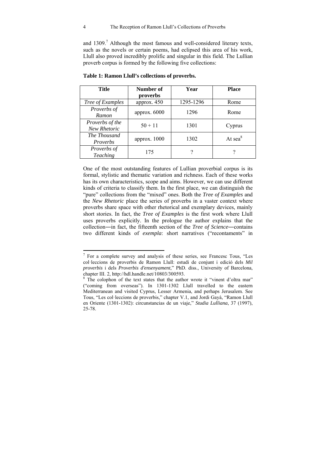and  $1309$ .<sup>7</sup> Although the most famous and well-considered literary texts, such as the novels or certain poems, had eclipsed this area of his work, Llull also proved incredibly prolific and singular in this field. The Lullian proverb corpus is formed by the following five collections:

| <b>Title</b>                          | Number of<br>proverbs | Year      | <b>Place</b>        |  |
|---------------------------------------|-----------------------|-----------|---------------------|--|
| Tree of Examples                      | approx. $450$         | 1295-1296 | Rome                |  |
| Proverbs of<br>Ramon                  | approx. 6000          | 1296      | Rome                |  |
| Proverbs of the<br>New Rhetoric       | $50 + 11$             | 1301      | Cyprus              |  |
| The Thousand<br>Proverbs              | approx. 1000          | 1302      | At sea <sup>8</sup> |  |
| <i>Proverbs of</i><br><b>Teaching</b> | 175                   |           |                     |  |

**Table 1: Ramon Llull's collections of proverbs.** 

One of the most outstanding features of Lullian proverbial corpus is its formal, stylistic and thematic variation and richness. Each of these works has its own characteristics, scope and aims. However, we can use different kinds of criteria to classify them. In the first place, we can distinguish the "pure" collections from the "mixed" ones. Both the *Tree of Examples* and the *New Rhetoric* place the series of proverbs in a vaster context where proverbs share space with other rhetorical and exemplary devices, mainly short stories. In fact, the *Tree of Examples* is the first work where Llull uses proverbs explicitly. In the prologue the author explains that the collection―in fact, the fifteenth section of the *Tree of Science*―contains two different kinds of *exempla*: short narratives ("recontaments" in

 7 For a complete survey and analysis of these series, see Francesc Tous, "Les col·leccions de proverbis de Ramon Llull: estudi de conjunt i edició dels *Mil proverbis* i dels *Proverbis d'ensenyament*," PhD. diss., University of Barcelona, chapter III. 2, http://hdl.handle.net/10803/300593.

<sup>&</sup>lt;sup>8</sup> The colophon of the text states that the author wrote it "vinent d'oltra mar" ("coming from overseas"). In 1301-1302 Llull travelled to the eastern Mediterranean and visited Cyprus, Lesser Armenia, and perhaps Jerusalem. See Tous, "Les col·leccions de proverbis," chapter V.1, and Jordi Gayà, "Ramon Llull en Oriente (1301-1302): circunstancias de un viaje," *Studia Lulliana*, 37 (1997), 25-78.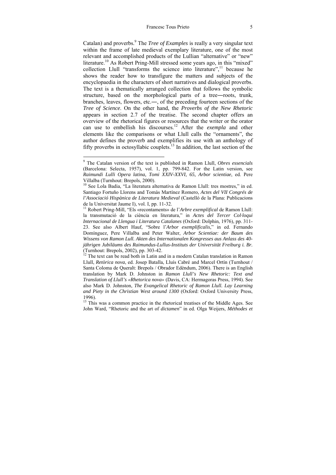Catalan) and proverbs.<sup>9</sup> The *Tree of Examples* is really a very singular text within the frame of late medieval exemplary literature, one of the most relevant and accomplished products of the Lullian "alternative" or "new" literature.<sup>10</sup> As Robert Pring-Mill stressed some years ago, in this "mixed" collection Llull "transforms the science into literature",<sup>11</sup> because he shows the reader how to transfigure the matters and subjects of the encyclopaedia in the characters of short narratives and dialogical proverbs. The text is a thematically arranged collection that follows the symbolic structure, based on the morphological parts of a tree—roots, trunk, branches, leaves, flowers, etc.―, of the preceding fourteen sections of the *Tree of Science*. On the other hand, the *Proverbs of the New Rhetoric* appears in section 2.7 of the treatise. The second chapter offers an overview of the rhetorical figures or resources that the writer or the orator can use to embellish his discourses.12 After the *exempla* and other elements like the comparisons or what Llull calls the "ornaments", the author defines the proverb and exemplifies its use with an anthology of fifty proverbs in octosyllabic couplets.<sup>13</sup> In addition, the last section of the

<sup>9</sup> The Catalan version of the text is published in Ramon Llull, *Obres essencials* (Barcelona: Selecta, 1957), vol. 1, pp. 799-842. For the Latin version, see *Raimundi Lulli Opera latina, Tomi XXIV-XXVI, 65, Arbor scientiae*, ed. Pere Villalba (Turnhout: Brepols, 2000).

<sup>&</sup>lt;sup>10</sup> See Lola Badia, "La literatura alternativa de Ramon Llull: tres mostres," in ed. Santiago Fortuño Llorens and Tomàs Martínez Romero, *Actes del VII Congrés de l'Associació Hispànica de Literatura Medieval* (Castelló de la Plana: Publicacions de la Universitat Jaume I), vol. I, pp. 11-32.<br><sup>11</sup> Robert Pring-Mill, "Els «recontaments» de l'*Arbre exemplifical* de Ramon Llull:

la transmutació de la ciència en literatura," in *Actes del Tercer Col·loqui Internacional de Llengua i Literatura Catalanes* (Oxford: Dolphin, 1976), pp. 311- 23. See also Albert Hauf, "Sobre l'*Arbor exemplificalis*," in ed. Fernando Domínguez, Pere Villalba and Peter Walter, *Arbor Scientiae: der Baum des Wissens von Ramon Lull. Akten des Internationalen Kongresses aus Anlass des 40 jährigen Jubiläums des Raimundus-Lullus-Instituts der Universität Freiburg i. Br.* (Turnhout: Brepols, 2002), pp. 303-42.

 $12$  The text can be read both in Latin and in a modern Catalan translation in Ramon Llull, *Retòrica nova*, ed. Josep Batalla, Lluís Cabré and Marcel Ortín (Turnhout / Santa Coloma de Queralt: Brepols / Obrador Edèndum, 2006). There is an English translation by Mark D. Johnston in *Ramon Llull's New Rhetoric: Text and Translation of Llull's «Rhetorica nova»* (Davis, CA: Hermagoras Press, 1994). See also Mark D. Johnston, *The Evangelical Rhetoric of Ramon Llull. Lay Learning and Piety in the Christian West around 1300* (Oxford: Oxford University Press, 1996).

 $13$  This was a common practice in the rhetorical treatises of the Middle Ages. See John Ward, "Rhetoric and the art of *dictamen*" in ed. Olga Weijers, *Méthodes et*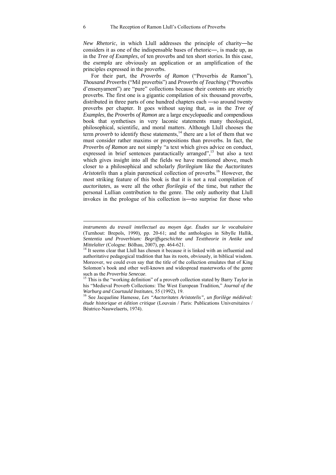*New Rhetoric*, in which Llull addresses the principle of charity―he considers it as one of the indispensable bases of rhetoric―, is made up, as in the *Tree of Examples*, of ten proverbs and ten short stories. In this case, the *exempla* are obviously an application or an amplification of the principles expressed in the proverbs.

For their part, the *Proverbs of Ramon* ("Proverbis de Ramon"), *Thousand Proverbs* ("Mil proverbis") and *Proverbs of Teaching* ("Proverbis d'ensenyament") are "pure" collections because their contents are strictly proverbs. The first one is a gigantic compilation of six thousand proverbs, distributed in three parts of one hundred chapters each ―so around twenty proverbs per chapter. It goes without saying that, as in the *Tree of Examples*, the *Proverbs of Ramon* are a large encyclopaedic and compendious book that synthetises in very laconic statements many theological, philosophical, scientific, and moral matters. Although Llull chooses the term *proverb* to identify these statements,<sup>14</sup> there are a lot of them that we must consider rather maxims or propositions than proverbs. In fact, the *Proverbs of Ramon* are not simply "a text which gives advice on conduct, expressed in brief sentences paratactically arranged",<sup>15</sup> but also a text which gives insight into all the fields we have mentioned above, much closer to a philosophical and scholarly *florilegium* like the *Auctoritates Aristotelis* than a plain parenetical collection of proverbs.<sup>16</sup> However, the most striking feature of this book is that it is not a real compilation of *auctoritates*, as were all the other *florilegia* of the time, but rather the personal Lullian contribution to the genre. The only authority that Llull invokes in the prologue of his collection is―no surprise for those who

*instruments du travail intellectuel au moyen âge. Études sur le vocabulaire* (Turnhout: Brepols, 1990), pp. 20-61; and the anthologies in Sibylle Hallik, *Sententia und Proverbium: Begriffsgeschichte und Texttheorie in Antike und Mittelalter* (Cologne: Bölhau, 2007), pp. 464-621.<br><sup>14</sup> It seems clear that Llull has chosen it because it is linked with an influential and

authoritative pedagogical tradition that has its roots, obviously, in biblical wisdom. Moreover, we could even say that the title of the collection emulates that of King Solomon's book and other well-known and widespread masterworks of the genre such as the Proverbia Senecae.

<sup>&</sup>lt;sup>15</sup> This is the "working definition" of a proverb collection stated by Barry Taylor in his "Medieval Proverb Collections: The West European Tradition," *Journal of the Warburg and Courtauld Institutes*, 55 (1992), 19.<br><sup>16</sup> See Jacqueline Hamesse, *Les "Auctoritates Aristotelis", un florilège médiéval:* 

*étude historique et édition critique* (Louvain / Paris: Publications Universitaires / Béatrice-Nauwelaerts, 1974).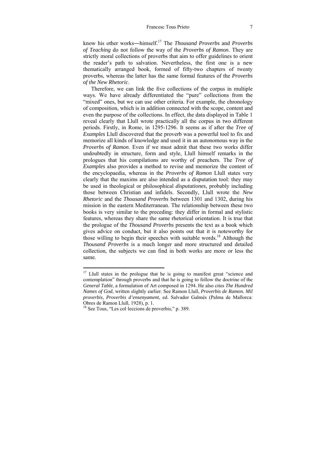know his other works―himself.17 The *Thousand Proverbs* and *Proverbs of Teaching* do not follow the way of the *Proverbs of Ramon*. They are strictly moral collections of proverbs that aim to offer guidelines to orient the reader's path to salvation. Nevertheless, the first one is a new thematically arranged book, formed of fifty-two chapters of twenty proverbs, whereas the latter has the same formal features of the *Proverbs of the New Rhetoric*.

Therefore, we can link the five collections of the corpus in multiple ways. We have already differentiated the "pure" collections from the "mixed" ones, but we can use other criteria. For example, the chronology of composition, which is in addition connected with the scope, content and even the purpose of the collections. In effect, the data displayed in Table 1 reveal clearly that Llull wrote practically all the corpus in two different periods. Firstly, in Rome, in 1295-1296. It seems as if after the *Tree of Examples* Llull discovered that the proverb was a powerful tool to fix and memorize all kinds of knowledge and used it in an autonomous way in the *Proverbs of Ramon*. Even if we must admit that these two works differ undoubtedly in structure, form and style, Llull himself remarks in the prologues that his compilations are worthy of preachers. The *Tree of Examples* also provides a method to revise and memorize the content of the encyclopaedia, whereas in the *Proverbs of Ramon* Llull states very clearly that the maxims are also intended as a disputation tool: they may be used in theological or philosophical *disputationes*, probably including those between Christian and infidels. Secondly, Llull wrote the *New Rhetoric* and the *Thousand Proverbs* between 1301 and 1302, during his mission in the eastern Mediterranean. The relationship between these two books is very similar to the preceding: they differ in formal and stylistic features, whereas they share the same rhetorical orientation. It is true that the prologue of the *Thousand Proverbs* presents the text as a book which gives advice on conduct, but it also points out that it is noteworthy for those willing to begin their speeches with suitable words.<sup>18</sup> Although the *Thousand Proverbs* is a much longer and more structured and detailed collection, the subjects we can find in both works are more or less the same.

 $17$  Llull states in the prologue that he is going to manifest great "science and contemplation" through proverbs and that he is going to follow the doctrine of the *General Table*, a formulation of Art composed in 1294. He also cites *The Hundred Names of God*, written slightly earlier. See Ramon Llull, *Proverbis de Ramon. Mil proverbis, Proverbis d'ensenyament*, ed. Salvador Galmés (Palma de Mallorca: Obres de Ramon Llull, 1928), p. 1.

<sup>18</sup> See Tous, "Les col·leccions de proverbis," p. 389.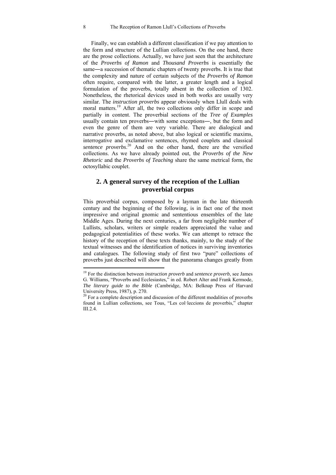Finally, we can establish a different classification if we pay attention to the form and structure of the Lullian collections. On the one hand, there are the prose collections. Actually, we have just seen that the architecture of the *Proverbs of Ramon* and *Thousand Proverbs* is essentially the same―a succession of thematic chapters of twenty proverbs. It is true that the complexity and nature of certain subjects of the *Proverbs of Ramon*  often require, compared with the latter, a greater length and a logical formulation of the proverbs, totally absent in the collection of 1302. Nonetheless, the rhetorical devices used in both works are usually very similar. The *instruction proverbs* appear obviously when Llull deals with moral matters.<sup>19</sup> After all, the two collections only differ in scope and partially in content. The proverbial sections of the *Tree of Examples* usually contain ten proverbs―with some exceptions―, but the form and even the genre of them are very variable. There are dialogical and narrative proverbs, as noted above, but also logical or scientific maxims, interrogative and exclamative sentences, rhymed couplets and classical *sentence proverbs*. 20 And on the other hand, there are the versified collections. As we have already pointed out, the *Proverbs of the New Rhetoric* and the *Proverbs of Teaching* share the same metrical form, the octosyllabic couplet.

### **2. A general survey of the reception of the Lullian proverbial corpus**

This proverbial corpus, composed by a layman in the late thirteenth century and the beginning of the following, is in fact one of the most impressive and original gnomic and sententious ensembles of the late Middle Ages. During the next centuries, a far from negligible number of Lullists, scholars, writers or simple readers appreciated the value and pedagogical potentialities of these works. We can attempt to retrace the history of the reception of these texts thanks, mainly, to the study of the textual witnesses and the identification of notices in surviving inventories and catalogues. The following study of first two "pure" collections of proverbs just described will show that the panorama changes greatly from

<sup>19</sup> For the distinction between *instruction proverb* and *sentence proverb*, see James G. Williams, "Proverbs and Ecclesiastes," in ed. Robert Alter and Frank Kermode, *The literary guide to the Bible* (Cambridge, MA: Belknap Press of Harvard University Press, 1987), p. 270.

 $^{20}$  For a complete description and discussion of the different modalities of proverbs found in Lullian collections, see Tous, "Les col·leccions de proverbis," chapter III. $2.4$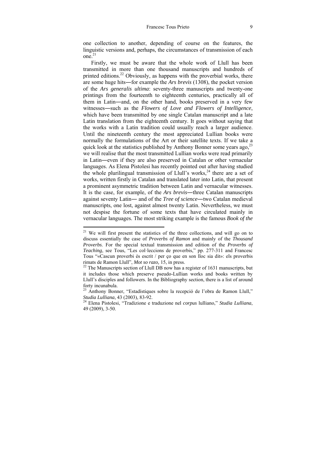one collection to another, depending of course on the features, the linguistic versions and, perhaps, the circumstances of transmission of each  $one<sup>21</sup>$ 

Firstly, we must be aware that the whole work of Llull has been transmitted in more than one thousand manuscripts and hundreds of printed editions.<sup>22</sup> Obviously, as happens with the proverbial works, there are some huge hits―for example the *Ars brevis* (1308), the pocket version of the *Ars generalis ultima*: seventy-three manuscripts and twenty-one printings from the fourteenth to eighteenth centuries, practically all of them in Latin―and, on the other hand, books preserved in a very few witnesses―such as the *Flowers of Love and Flowers of Intelligence*, which have been transmitted by one single Catalan manuscript and a late Latin translation from the eighteenth century. It goes without saying that the works with a Latin tradition could usually reach a larger audience. Until the nineteenth century the most appreciated Lullian books were normally the formulations of the Art or their satellite texts. If we take a quick look at the statistics published by Anthony Bonner some years ago,  $^{23}$ we will realise that the most transmitted Lullian works were read primarily in Latin―even if they are also preserved in Catalan or other vernacular languages. As Elena Pistolesi has recently pointed out after having studied the whole plurilingual transmission of Llull's works,  $24$  there are a set of works, written firstly in Catalan and translated later into Latin, that present a prominent asymmetric tradition between Latin and vernacular witnesses. It is the case, for example, of the *Ars brevis*―three Catalan manuscripts against seventy Latin― and of the *Tree of science*―two Catalan medieval manuscripts, one lost, against almost twenty Latin. Nevertheless, we must not despise the fortune of some texts that have circulated mainly in vernacular languages. The most striking example is the famous *Book of the* 

 $21$  We will first present the statistics of the three collections, and will go on to discuss essentially the case of *Proverbs of Ramon* and mainly of the *Thousand Proverbs*. For the special textual transmission and edition of the *Proverbs of Teaching*, see Tous, "Les col·leccions de proverbis," pp. 277-311 and Francesc Tous "«Cascun proverbi és escrit / per ço que en son lloc sia dit»: els proverbis rimats de Ramon Llull", *Mot so razo*, 15, in press.<br><sup>22</sup> The Manuscripts section of Llull DB now has a register of 1631 manuscripts, but

it includes those which preserve pseudo-Lullian works and books written by Llull's disciples and followers. In the Bibliography section, there is a list of around forty incunabula.

<sup>23</sup> Anthony Bonner, "Estadístiques sobre la recepció de l'obra de Ramon Llull," *Studia Lulliana*, 43 (2003), 83-92. 24 Elena Pistolesi, "Tradizione e traduzione nel *corpus* lulliano," *Studia Lulliana*,

<sup>49 (2009), 3-50.</sup>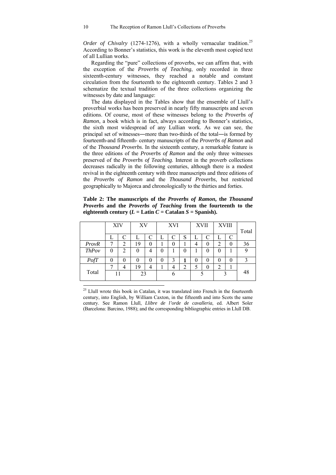*Order of Chivalry* (1274-1276), with a wholly vernacular tradition.<sup>25</sup> According to Bonner's statistics, this work is the eleventh most copied text of all Lullian works.

Regarding the "pure" collections of proverbs, we can affirm that, with the exception of the *Proverbs of Teaching*, only recorded in three sixteenth-century witnesses, they reached a notable and constant circulation from the fourteenth to the eighteenth century. Tables 2 and 3 schematize the textual tradition of the three collections organizing the witnesses by date and language:

The data displayed in the Tables show that the ensemble of Llull's proverbial works has been preserved in nearly fifty manuscripts and seven editions. Of course, most of these witnesses belong to the *Proverbs of Ramon*, a book which is in fact, always according to Bonner's statistics, the sixth most widespread of any Lullian work. As we can see, the principal set of witnesses―more than two-thirds of the total―is formed by fourteenth-and fifteenth- century manuscripts of the *Proverbs of Ramon* and of the *Thousand Proverbs*. In the sixteenth century, a remarkable feature is the three editions of the *Proverbs of Ramon* and the only three witnesses preserved of the *Proverbs of Teaching*. Interest in the proverb collections decreases radically in the following centuries, although there is a modest revival in the eighteenth century with three manuscripts and three editions of the *Proverbs of Ramon* and the *Thousand Proverbs*, but restricted geographically to Majorca and chronologically to the thirties and forties.

|              | XIV      |                | XV |          | XVI          |   |                  | XVII |          | <b>XVIII</b> |   |       |
|--------------|----------|----------------|----|----------|--------------|---|------------------|------|----------|--------------|---|-------|
|              | L        | $\subset$      |    | C        | L            | C | S                | L    | C        | L            | C | Total |
| <b>ProvR</b> |          | $\overline{c}$ | 19 | 0        |              | 0 |                  | 4    | 0        | 2            | 0 | 36    |
| <b>ThPov</b> | $\theta$ | $\mathfrak{D}$ | 0  | 4        | $\mathbf{0}$ |   | $\left( \right)$ |      | 0        | 0            |   |       |
| PofT         | 0        |                | 0  | $\theta$ | 0            | 3 |                  | 0    | $\theta$ | 0            | 0 |       |
|              |          |                | 19 | 4        |              |   | ↑                | 5    | $\theta$ | 2            |   |       |
| Total        |          |                |    | 23       |              |   |                  |      |          |              |   | 48    |

**Table 2: The manuscripts of the** *Proverbs of Ramon***, the** *Thousand Proverbs* **and the** *Proverbs of Teaching* **from the fourteenth to the eighteenth century (** $L =$  **Latin**  $C =$  **Catalan**  $S =$  **Spanish).** 

 $25$  Llull wrote this book in Catalan, it was translated into French in the fourteenth century, into English, by William Caxton, in the fifteenth and into Scots the same century. See Ramon Llull, *Llibre de l'orde de cavalleria*, ed. Albert Soler (Barcelona: Barcino, 1988); and the corresponding bibliographic entries in Llull DB.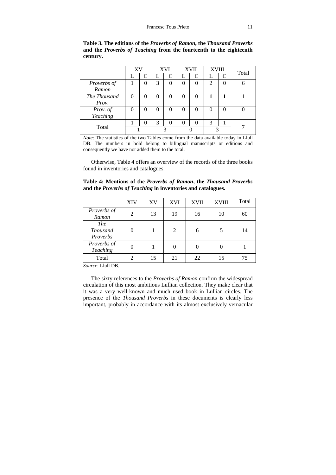**Table 3. The editions of the** *Proverbs of Ramon***, the** *Thousand Proverbs* **and the** *Proverbs of Teaching* **from the fourteenth to the eighteenth century.** 

|              | XV |               | <b>XVI</b> |           | <b>XVII</b> |               | <b>XVIII</b>   |                             | Total |
|--------------|----|---------------|------------|-----------|-------------|---------------|----------------|-----------------------------|-------|
|              |    | $\mathcal{C}$ |            | $\subset$ |             | $\mathcal{C}$ |                | $\mathcal{C}_{\mathcal{C}}$ |       |
| Proverbs of  |    | 0             | 3          | 0         | 0           | 0             | $\overline{c}$ |                             |       |
| Ramon        |    |               |            |           |             |               |                |                             |       |
| The Thousand | 0  | 0             |            | 0         | 0           |               |                |                             |       |
| Prov.        |    |               |            |           |             |               |                |                             |       |
| Prov. of     | 0  | 0             | 0          | 0         | 0           | 0             | 0              | 0                           |       |
| Teaching     |    |               |            |           |             |               |                |                             |       |
|              |    |               | 3          |           | 0           |               | 3              |                             |       |
| Total        |    |               |            |           |             |               |                |                             |       |

*Note*: The statistics of the two Tables come from the data available today in Llull DB. The numbers in bold belong to bilingual manuscripts or editions and consequently we have not added them to the total.

Otherwise, Table 4 offers an overview of the records of the three books found in inventories and catalogues.

**Table 4: Mentions of the** *Proverbs of Ramon***, the** *Thousand Proverbs* **and the** *Proverbs of Teaching* **in inventories and catalogues.** 

|                                           | <b>XIV</b> | XV | <b>XVI</b> | <b>XVII</b> | <b>XVIII</b> | Total |
|-------------------------------------------|------------|----|------------|-------------|--------------|-------|
| Proverbs of<br>Ramon                      | 2          | 13 | 19         | 16          | 10           | 60    |
| <b>The</b><br><b>Thousand</b><br>Proverbs |            |    | 2          | 6           | 5            | 14    |
| Proverbs of<br>Teaching                   |            |    |            |             |              |       |
| Total                                     |            | 15 | 21         | 22          | 15           | 75    |

*Source*: Llull DB.

The sixty references to the *Proverbs of Ramon* confirm the widespread circulation of this most ambitious Lullian collection. They make clear that it was a very well-known and much used book in Lullian circles. The presence of the *Thousand Proverbs* in these documents is clearly less important, probably in accordance with its almost exclusively vernacular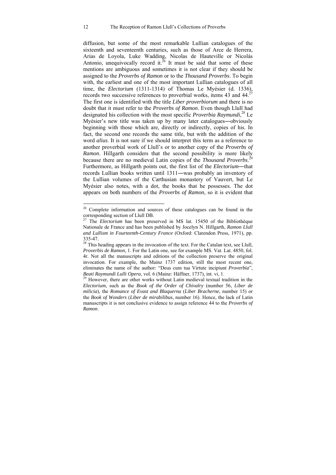diffusion, but some of the most remarkable Lullian catalogues of the sixteenth and seventeenth centuries, such as those of Arce de Herrera, Arias de Loyola, Luke Wadding, Nicolas de Hauteville or Nicolás Antonio, unequivocally record it.<sup>26</sup> It must be said that some of these mentions are ambiguous and sometimes it is not clear if they should be assigned to the *Proverbs of Ramon* or to the *Thousand Proverbs*. To begin with, the earliest and one of the most important Lullian catalogues of all time, the *Electorium* (1311-1314) of Thomas Le Myésier (d. 1336), records two successive references to proverbial works, items 43 and  $44^{27}$ The first one is identified with the title *Liber proverbiorum* and there is no doubt that it must refer to the *Proverbs of Ramon*. Even though Llull had designated his collection with the most specific *Proverbia Raymundi*, 28 Le Myésier's new title was taken up by many later catalogues―obviously beginning with those which are, directly or indirectly, copies of his. In fact, the second one records the same title, but with the addition of the word *alius*. It is not sure if we should interpret this term as a reference to another proverbial work of Llull's or to another copy of the *Proverbs of Ramon*. Hillgarth considers that the second possibility is more likely because there are no medieval Latin copies of the *Thousand Proverbs*. 29 Furthermore, as Hillgarth points out, the first list of the *Electorium*―that records Lullian books written until 1311―was probably an inventory of the Lullian volumes of the Carthusian monastery of Vauvert, but Le Myésier also notes, with a dot, the books that he possesses. The dot appears on both numbers of the *Proverbs of Ramon*, so it is evident that

<sup>&</sup>lt;sup>26</sup> Complete information and sources of these catalogues can be found in the corresponding section of Llull DB.

<sup>&</sup>lt;sup>27</sup> The *Electorium* has been preserved in MS lat. 15450 of the Bibliothèque Nationale de France and has been published by Jocelyn N. Hillgarth, *Ramon Llull and Lullism in Fourteenth-Century France* (Oxford: Clarendon Press, 1971), pp. 335-47.

 $28$  This heading appears in the invocation of the text. For the Catalan text, see Llull, *Proverbis de Ramon*, 1. For the Latin one, see for example MS. Vat. Lat. 4850, fol. 4r. Not all the manuscripts and editions of the collection preserve the original invocation. For example, the Mainz 1737 edition, still the most recent one, eliminates the name of the author: "Deus cum tua Virtute incipiunt *Proverbia*", *Beati Raymundi Lulli Opera*, vol. 6 (Mainz: Häffner, 1737), int. vi, 1.<br><sup>29</sup> However, there are other works without Latin medieval textual tradition in the

*Electorium*, such as the *Book of the Order of Chivalry* (number 56, *Liber de milicia*), the *Romance of Evast and Blaquerna* (*Liber Bracherne*, number 15) or the *Book of Wonders* (*Liber de mirabilibus*, number 16). Hence, the lack of Latin manuscripts it is not conclusive evidence to assign reference 44 to the *Proverbs of Ramon*.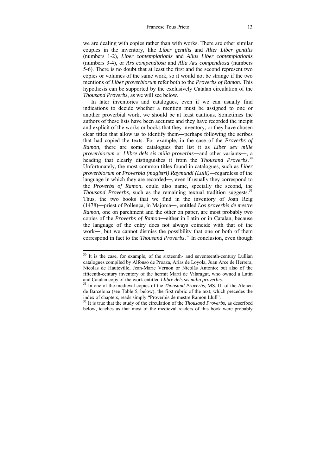we are dealing with copies rather than with works. There are other similar couples in the inventory, like *Liber gentilis* and *Alter Liber gentilis*  (numbers 1-2), *Liber contemplationis* and *Alius Liber contemplationis* (numbers 3-4), or *Ars compendiosa* and *Alia Ars compendiosa* (numbers 5-6). There is no doubt that at least the first and the second represent two copies or volumes of the same work, so it would not be strange if the two mentions of *Liber proverbiorum* refer both to the *Proverbs of Ramon*. This hypothesis can be supported by the exclusively Catalan circulation of the *Thousand Proverbs*, as we will see below.

In later inventories and catalogues, even if we can usually find indications to decide whether a mention must be assigned to one or another proverbial work, we should be at least cautious. Sometimes the authors of these lists have been accurate and they have recorded the incipit and explicit of the works or books that they inventory, or they have chosen clear titles that allow us to identify them―perhaps following the scribes that had copied the texts. For example, in the case of the *Proverbs of Ramon*, there are some catalogues that list it as *Liber sex mille proverbiorum* or *Llibre dels sis mília proverbis*―and other variants―, a heading that clearly distinguishes it from the *Thousand Proverbs*. 30 Unfortunately, the most common titles found in catalogues, such as *Liber proverbiorum* or *Proverbia (magistri) Raymundi (Lulli)*―regardless of the language in which they are recorded―, even if usually they correspond to the *Proverbs of Ramon*, could also name, specially the second, the *Thousand Proverbs*, such as the remaining textual tradition suggests.<sup>31</sup> Thus, the two books that we find in the inventory of Joan Reig (1478)―priest of Pollença, in Majorca―, entitled *Los proverbis de mestre Ramon*, one on parchment and the other on paper, are most probably two copies of the *Proverbs of Ramon*―either in Latin or in Catalan, because the language of the entry does not always coincide with that of the work―, but we cannot dismiss the possibility that one or both of them correspond in fact to the *Thousand Proverbs*. 32 In conclusion, even though

 $30$  It is the case, for example, of the sixteenth- and seventeenth-century Lullian catalogues compiled by Alfonso de Proaza, Arias de Loyola, Juan Arce de Herrera, Nicolas de Hauteville, Jean-Marie Vernon or Nicolás Antonio; but also of the fifteenth-century inventory of the hermit Martí de Vilaragut, who owned a Latin and Catalan copy of the work entitled *Llibre dels sis mília proverbis*. 31 In one of the medieval copies of the *Thousand Proverbs*, MS. III of the Ateneu

de Barcelona (see Table 5, below), the first rubric of the text, which precedes the index of chapters, reads simply "Proverbis de mestre Ramon Llull". 32 It is true that the study of the circulation of the *Thousand Proverbs*, as described

below, teaches us that most of the medieval readers of this book were probably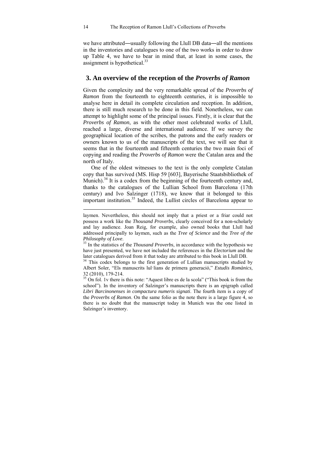we have attributed―usually following the Llull DB data―all the mentions in the inventories and catalogues to one of the two works in order to draw up Table 4, we have to bear in mind that, at least in some cases, the assignment is hypothetical. $33$ 

### **3. An overview of the reception of the** *Proverbs of Ramon*

Given the complexity and the very remarkable spread of the *Proverbs of Ramon* from the fourteenth to eighteenth centuries, it is impossible to analyse here in detail its complete circulation and reception. In addition, there is still much research to be done in this field. Nonetheless, we can attempt to highlight some of the principal issues. Firstly, it is clear that the *Proverbs of Ramon*, as with the other most celebrated works of Llull, reached a large, diverse and international audience. If we survey the geographical location of the scribes, the patrons and the early readers or owners known to us of the manuscripts of the text, we will see that it seems that in the fourteenth and fifteenth centuries the two main foci of copying and reading the *Proverbs of Ramon* were the Catalan area and the north of Italy.

One of the oldest witnesses to the text is the only complete Catalan copy that has survived (MS. Hisp 59 [603], Bayerische Staatsbibliothek of Munich).<sup>34</sup> It is a codex from the beginning of the fourteenth century and, thanks to the catalogues of the Lullian School from Barcelona (17th century) and Ivo Salzinger (1718), we know that it belonged to this important institution.<sup>35</sup> Indeed, the Lullist circles of Barcelona appear to

laymen. Nevertheless, this should not imply that a priest or a friar could not possess a work like the *Thousand Proverbs*, clearly conceived for a non-scholarly and lay audience. Joan Reig, for example, also owned books that Llull had addressed principally to laymen, such as the *Tree of Science* and the *Tree of the* 

*Philosophy of Love.* <sup>33</sup> In the statistics of the *Thousand Proverbs*, in accordance with the hypothesis we have just presented, we have not included the references in the *Electorium* and the later catalogues derived from it that today are attributed to this book in Llull DB.

<sup>&</sup>lt;sup>34</sup> This codex belongs to the first generation of Lullian manuscripts studied by Albert Soler, "Els manuscrits lul·lians de primera generació," *Estudis Romànics*, 32 (2010), 179-214.

<sup>&</sup>lt;sup>35</sup> On fol. 1v there is this note: "Aquest libre es de la scola" ("This book is from the school"). In the inventory of Salzinger's manuscripts there is an epigraph called *Libri Barcinonenses in compactura numeris signati*. The fourth item is a copy of the *Proverbs of Ramon*. On the same folio as the note there is a large figure 4, so there is no doubt that the manuscript today in Munich was the one listed in Salzinger's inventory.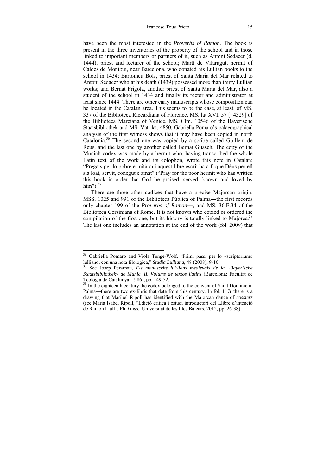have been the most interested in the *Proverbs of Ramon*. The book is present in the three inventories of the property of the school and in those linked to important members or partners of it, such as Antoni Sedacer (d. 1444), priest and lecturer of the school; Martí de Vilaragut, hermit of Caldes de Montbui, near Barcelona, who donated his Lullian books to the school in 1434; Bartomeu Bols, priest of Santa Maria del Mar related to Antoni Sedacer who at his death (1439) possessed more than thirty Lullian works; and Bernat Frigola, another priest of Santa Maria del Mar, also a student of the school in 1434 and finally its rector and administrator at least since 1444. There are other early manuscripts whose composition can be located in the Catalan area. This seems to be the case, at least, of MS. 337 of the Biblioteca Riccardiana of Florence, MS. lat XVI, 57 [=4329] of the Biblioteca Marciana of Venice, MS. Clm. 10546 of the Bayerische Staatsbibliothek and MS. Vat. lat. 4850. Gabriella Pomaro's palaeographical analysis of the first witness shows that it may have been copied in north Catalonia.36 The second one was copied by a scribe called Guillem de Reus, and the last one by another called Bernat Guasch. The copy of the Munich codex was made by a hermit who, having transcribed the whole Latin text of the work and its colophon, wrote this note in Catalan: "Pregats per lo pobre ermità qui aquest libre escrit ha a fi que Déus per ell sia loat, servit, conegut e amat" ("Pray for the poor hermit who has written this book in order that God be praised, served, known and loved by him" $)^{37}$ 

There are three other codices that have a precise Majorcan origin: MSS. 1025 and 991 of the Biblioteca Pública of Palma—the first records only chapter 199 of the *Proverbs of Ramon*―, and MS. 36.E.34 of the Biblioteca Corsiniana of Rome. It is not known who copied or ordered the compilation of the first one, but its history is totally linked to Majorca.<sup>38</sup> The last one includes an annotation at the end of the work (fol. 200v) that

<sup>&</sup>lt;sup>36</sup> Gabriella Pomaro and Viola Tenge-Wolf, "Primi passi per lo «scriptorium» lulliano, con una nota filologica," *Studia Lulliana*, 48 (2008), 9-10. 37 See Josep Perarnau, *Els manuscrits lul·lians medievals de la «Bayerische* 

*Staatsbibliothek» de Munic. II. Volums de textos llatins* (Barcelona: Facultat de Teologia de Catalunya, 1986), pp. 149-52.

<sup>&</sup>lt;sup>38</sup> In the eighteenth century the codex belonged to the convent of Saint Dominic in Palma―there are two ex-libris that date from this century. In fol. 117r there is a drawing that Maribel Ripoll has identified with the Majorcan dance of *cossiers* (see Maria Isabel Ripoll, "Edició crítica i estudi introductori del Llibre d'intenció de Ramon Llull", PhD diss., Universitat de les Illes Balears, 2012, pp. 26-38).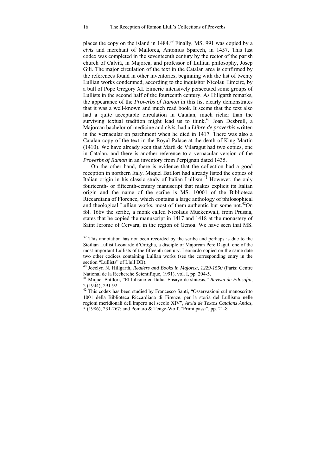places the copy on the island in  $1484<sup>39</sup>$  Finally, MS, 991 was copied by a *civis* and merchant of Mallorca, Antonius Sparech, in 1457. This last codex was completed in the seventeenth century by the rector of the parish church of Calvià, in Majorca, and professor of Lullian philosophy, Josep Gili. The major circulation of the text in the Catalan area is confirmed by the references found in other inventories, beginning with the list of twenty Lullian works condemned, according to the inquisitor Nicolau Eimeirc, by a bull of Pope Gregory XI. Eimeric intensively persecuted some groups of Lullists in the second half of the fourteenth century. As Hillgarth remarks, the appearance of the *Proverbs of Ramon* in this list clearly demonstrates that it was a well-known and much read book. It seems that the text also had a quite acceptable circulation in Catalan, much richer than the surviving textual tradition might lead us to think.<sup>40</sup> Joan Desbrull, a Majorcan bachelor of medicine and *civis*, had a *Llibre de proverbis* written in the vernacular on parchment when he died in 1417. There was also a Catalan copy of the text in the Royal Palace at the death of King Martin (1410). We have already seen that Martí de Vilaragut had two copies, one in Catalan, and there is another reference to a vernacular version of the *Proverbs of Ramon* in an inventory from Perpignan dated 1435.

On the other hand, there is evidence that the collection had a good reception in northern Italy. Miquel Batllori had already listed the copies of Italian origin in his classic study of Italian Lullism.<sup>41</sup> However, the only fourteenth- or fifteenth-century manuscript that makes explicit its Italian origin and the name of the scribe is MS. 10001 of the Biblioteca Riccardiana of Florence, which contains a large anthology of philosophical and theological Lullian works, most of them authentic but some not.<sup>42</sup>On fol. 166v the scribe, a monk called Nicolaus Muckenwalt, from Prussia, states that he copied the manuscript in 1417 and 1418 at the monastery of Saint Jerome of Cervara, in the region of Genoa. We have seen that MS.

 $39$  This annotation has not been recorded by the scribe and perhaps is due to the Sicilian Lullist Leonardo d'Ortiglia, a disciple of Majorcan Pere Daguí, one of the most important Lullists of the fifteenth century. Leonardo copied on the same date two other codices containing Lullian works (see the corresponding entry in the section "Lullists" of Llull DB).

<sup>40</sup> Jocelyn N. Hillgarth, *Readers and Books in Majorca, 1229-1550* (Paris: Centre National de la Recherche Scientifique, 1991), vol. I, pp. 204-5.

<sup>41</sup> Miquel Batllori, "El lulismo en Italia. Ensayo de síntesis," *Revista de Filosofía*, 2 (1944), 291-92.

<sup>&</sup>lt;sup>42</sup> This codex has been studied by Francesco Santi, "Osservazioni sul manoscritto 1001 della Biblioteca Riccardiana di Firenze, per la storia del Lullismo nelle regioni meridionali dell'Impero nel secolo XIV", *Arxiu de Textos Catalans Antics*, 5 (1986), 231-267; and Pomaro & Tenge-Wolf, "Primi passi", pp. 21-8.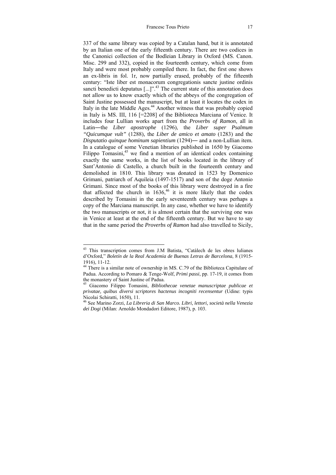337 of the same library was copied by a Catalan hand, but it is annotated by an Italian one of the early fifteenth century. There are two codices in the Canonici collection of the Bodleian Library in Oxford (MS. Canon. Misc. 299 and 332), copied in the fourteenth century, which come from Italy and were most probably compiled there. In fact, the first one shows an ex-libris in fol. 1r, now partially erased, probably of the fifteenth century: "Iste liber est monacorum congregationis sancte justine ordinis sancti benedicti deputatus  $[\dots]$ <sup>43</sup>. The current state of this annotation does not allow us to know exactly which of the abbeys of the congregation of Saint Justine possessed the manuscript, but at least it locates the codex in Italy in the late Middle Ages.<sup>44</sup> Another witness that was probably copied in Italy is MS. III, 116 [=2208] of the Biblioteca Marciana of Venice. It includes four Lullian works apart from the *Proverbs of Ramon*, all in Latin―the *Liber apostrophe* (1296), the *Liber super Psalmum "Quicumque vult"* (1288), the *Liber de amico et amato* (1283) and the *Disputatio quinque hominum sapientium* (1294)― and a non-Lullian item. In a catalogue of some Venetian libraries published in 1650 by Giacomo Filippo Tomasini, $45$  we find a mention of an identical codex containing exactly the same works, in the list of books located in the library of Sant'Antonio di Castello, a church built in the fourteenth century and demolished in 1810. This library was donated in 1523 by Domenico Grimani, patriarch of Aquileia (1497-1517) and son of the doge Antonio Grimani. Since most of the books of this library were destroyed in a fire that affected the church in  $1636<sup>46</sup>$  it is more likely that the codex described by Tomasini in the early seventeenth century was perhaps a copy of the Marciana manuscript. In any case, whether we have to identify the two manuscripts or not, it is almost certain that the surviving one was in Venice at least at the end of the fifteenth century. But we have to say that in the same period the *Proverbs of Ramon* had also travelled to Sicily,

<sup>&</sup>lt;sup>43</sup> This transcription comes from J.M Batista, "Catàlech de les obres lulianes d'Oxford," *Boletín de la Real Academia de Buenas Letras de Barcelona*, 8 (1915- 1916), 11-12.

 $44$  There is a similar note of ownership in MS. C.79 of the Biblioteca Capitulare of Padua. According to Pomaro & Tenge-Wolf, *Primi passi*, pp. 17-19, it comes from the monastery of Saint Justine of Padua.

<sup>45</sup> Giacomo Filippo Tomasini, *Bibliothecae venetae manuscriptae publicae et privatae, quibus diversi scriptores hactenus incogniti recensentur* (Udine: typis Nicolai Schiratti, 1650), 11.

<sup>46</sup> See Marino Zorzi, *La Libreria di San Marco. Libri, lettori, società nella Venezia dei Dogi* (Milan: Arnoldo Mondadori Editore, 1987), p. 103.